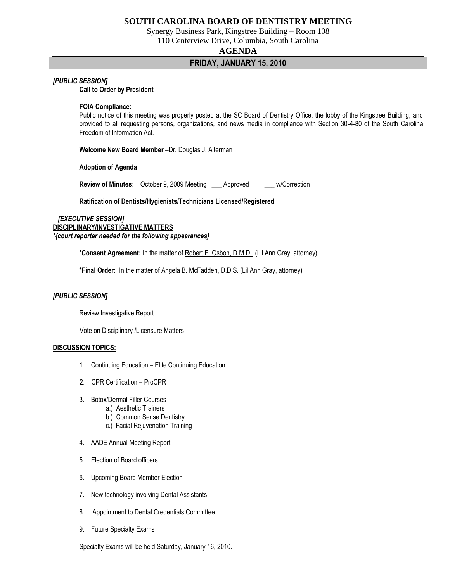# **SOUTH CAROLINA BOARD OF DENTISTRY MEETING**

Synergy Business Park, Kingstree Building – Room 108

110 Centerview Drive, Columbia, South Carolina

### **AGENDA**

# **FRIDAY, JANUARY 15, 2010**

### *[PUBLIC SESSION]*

**Call to Order by President**

#### **FOIA Compliance:**

Public notice of this meeting was properly posted at the SC Board of Dentistry Office, the lobby of the Kingstree Building, and provided to all requesting persons, organizations, and news media in compliance with Section 30-4-80 of the South Carolina Freedom of Information Act.

**Welcome New Board Member** –Dr. Douglas J. Alterman

**Adoption of Agenda**

**Review of Minutes:** October 9, 2009 Meeting \_\_\_ Approved \_\_\_ w/Correction

**Ratification of Dentists/Hygienists/Technicians Licensed/Registered**

 *[EXECUTIVE SESSION]* **DISCIPLINARY/INVESTIGATIVE MATTERS**  *\*{court reporter needed for the following appearances}*

**\*Consent Agreement:** In the matter of Robert E. Osbon, D.M.D. (Lil Ann Gray, attorney)

**\*Final Order:** In the matter of Angela B. McFadden, D.D.S. (Lil Ann Gray, attorney)

## *[PUBLIC SESSION]*

Review Investigative Report

Vote on Disciplinary /Licensure Matters

#### **DISCUSSION TOPICS:**

- 1. Continuing Education Elite Continuing Education
- 2. CPR Certification ProCPR
- 3. Botox/Dermal Filler Courses
	- a.) Aesthetic Trainers
	- b.) Common Sense Dentistry
	- c.) Facial Rejuvenation Training
- 4. AADE Annual Meeting Report
- 5. Election of Board officers
- 6. Upcoming Board Member Election
- 7. New technology involving Dental Assistants
- 8. Appointment to Dental Credentials Committee
- 9. Future Specialty Exams

Specialty Exams will be held Saturday, January 16, 2010.